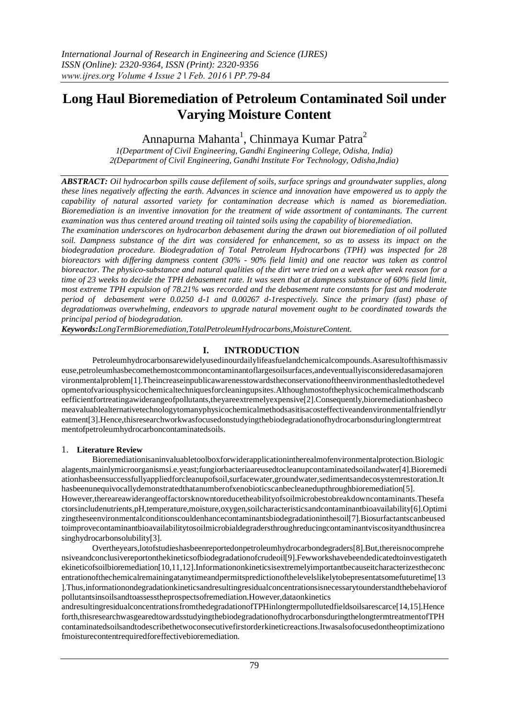# **Long Haul Bioremediation of Petroleum Contaminated Soil under Varying Moisture Content**

## Annapurna Mahanta<sup>1</sup>, Chinmaya Kumar Patra<sup>2</sup>

*1(Department of Civil Engineering, Gandhi Engineering College, Odisha, India) 2(Department of Civil Engineering, Gandhi Institute For Technology, Odisha,India)*

*ABSTRACT: Oil hydrocarbon spills cause defilement of soils, surface springs and groundwater supplies, along these lines negatively affecting the earth. Advances in science and innovation have empowered us to apply the capability of natural assorted variety for contamination decrease which is named as bioremediation. Bioremediation is an inventive innovation for the treatment of wide assortment of contaminants. The current examination was thus centered around treating oil tainted soils using the capability of bioremediation.* 

*The examination underscores on hydrocarbon debasement during the drawn out bioremediation of oil polluted soil. Dampness substance of the dirt was considered for enhancement, so as to assess its impact on the biodegradation procedure. Biodegradation of Total Petroleum Hydrocarbons (TPH) was inspected for 28 bioreactors with differing dampness content (30% - 90% field limit) and one reactor was taken as control bioreactor. The physico-substance and natural qualities of the dirt were tried on a week after week reason for a time of 23 weeks to decide the TPH debasement rate. It was seen that at dampness substance of 60% field limit, most extreme TPH expulsion of 78.21% was recorded and the debasement rate constants for fast and moderate period of debasement were 0.0250 d-1 and 0.00267 d-1respectively. Since the primary (fast) phase of degradationwas overwhelming, endeavors to upgrade natural movement ought to be coordinated towards the principal period of biodegradation.*

*Keywords:LongTermBioremediation,TotalPetroleumHydrocarbons,MoistureContent.*

## **I. INTRODUCTION**

Petroleumhydrocarbonsarewidelyusedinourdailylifeasfuelandchemicalcompounds.Asaresultofthismassiv euse,petroleumhasbecomethemostcommoncontaminantoflargesoilsurfaces,andeventuallyisconsideredasamajoren vironmentalproblem[1].Theincreaseinpublicawarenesstowardstheconservationoftheenvironmenthasledtothedevel opmentofvariousphysicochemicaltechniquesforcleaningupsites.Althoughmostofthephysicochemicalmethodscanb eefficientfortreatingawiderangeofpollutants,theyareextremelyexpensive[2].Consequently,bioremediationhasbeco meavaluablealternativetechnologytomanyphysicochemicalmethodsasitisacosteffectiveandenvironmentalfriendlytr eatment[3].Hence,thisresearchworkwasfocusedonstudyingthebiodegradationofhydrocarbonsduringlongtermtreat mentofpetroleumhydrocarboncontaminatedsoils.

### 1. **Literature Review**

Bioremediationisaninvaluabletoolboxforwiderapplicationintherealmofenvironmentalprotection.Biologic alagents,mainlymicroorganismsi.e.yeast;fungiorbacteriaareusedtocleanupcontaminatedsoilandwater[4].Bioremedi ationhasbeensuccessfullyappliedforcleanupofsoil,surfacewater,groundwater,sedimentsandecosystemrestoration.It hasbeenunequivocallydemonstratedthatanumberofxenobioticscanbecleanedupthroughbioremediation[5]. However,thereareawiderangeoffactorsknowntoreducetheabilityofsoilmicrobestobreakdowncontaminants.Thesefa ctorsincludenutrients,pH,temperature,moisture,oxygen,soilcharacteristicsandcontaminantbioavailability[6].Optimi zingtheseenvironmentalconditionscouldenhancecontaminantsbiodegradationinthesoil[7].Biosurfactantscanbeused toimprovecontaminantbioavailabilitytosoilmicrobialdegradersthroughreducingcontaminantviscosityandthusincrea singhydrocarbonsolubility[3].

Overtheyears,lotofstudieshasbeenreportedonpetroleumhydrocarbondegraders[8].But,thereisnocomprehe nsiveandconclusivereportonthekineticsofbiodegradationofcrudeoil[9].Fewworkshavebeendedicatedtoinvestigateth ekineticofsoilbioremediation[10,11,12].Informationonkineticsisextremelyimportantbecauseitcharacterizestheconc entrationofthechemicalremainingatanytimeandpermitspredictionofthelevelslikelytobepresentatsomefuturetime[13 ].Thus,informationondegradationkineticsandresultingresidualconcentrationsisnecessarytounderstandthebehaviorof pollutantsinsoilsandtoassesstheprospectsofremediation.However,dataonkinetics

andresultingresidualconcentrationsfromthedegradationofTPHinlongtermpollutedfieldsoilsarescarce[14,15].Hence forth,thisresearchwasgearedtowardsstudyingthebiodegradationofhydrocarbonsduringthelongtermtreatmentofTPH contaminatedsoilsandtodescribethetwoconsecutivefirstorderkineticreactions.Itwasalsofocusedontheoptimizationo fmoisturecontentrequiredforeffectivebioremediation.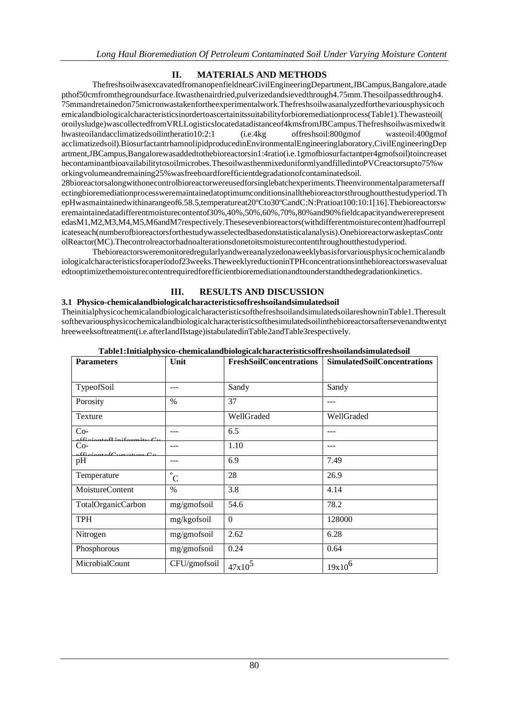### **MATERIALS AND METHODS**  $\Pi$

ThefreshsoilwasexcavatedfromanopenfieldnearCivilEngineeringDepartment,JBCampus,Bangalore,atade pthof50cmfromthegroundsurface.Itwasthenairdried,pulverizedandsievedthrough4.75mm.Thesoilpassedthrough4. 75mmandretainedon75micronwastakenfortheexperimentalwork.Thefreshsoilwasanalyzedforthevariousphysicoch emicalandbiologicalcharacteristicsinordertoascertainitssuitabilityforbioremediationprocess(Table1).Thewasteoil( oroilysludge)wascollectedfromVRLLogisticslocatedatadistanceof4kmsfromJBCampus.Thefreshsoilwasmixedwit hwasteoilandacclimatizedsoilintheratio10:2:1  $(i.e. 4kg)$ offreshsoil:800gmof wasteoil:400gmof acclimatizedsoil).BiosurfactantrhamnolipidproducedinEnvironmentalEngineeringlaboratory.CivilEngineeringDep artment,JBCampus,Bangalorewasaddedtothebioreactorsin1:4ratio(i.e.1gmofbiosurfactantper4gmofsoil)toincreaset hecontaminantbioavailabilitytosoilmicrobes. ThesoilwasthenmixeduniformlyandfilledintoPVCreactorsupto75%w orkingvolumeandremaining25% was freeboardforefficient degradation of contaminated soil.

28bioreactorsalongwithonecontrolbioreactorwereusedforsinglebatchexperiments. Theenvironmentalparametersaff ectingbioremediationprocessweremaintainedatoptimumconditionsinallthebioreactorsthroughoutthestudyperiod.Th epHwasmaintainedwithinarangeof6.58.5.temperatureat20°Cto30°CandC:N:Pratioat100:10:1[16].Thebioreactorsw eremaintainedatadifferentmoisturecontentof30%.40%.50%.60%.70%.80%and90%fieldcapacityandwererepresent edasM1,M2,M3,M4,M5,M6andM7respectively.Thesesevenbioreactors(withdifferentmoisturecontent)hadfourrepl icateseach(numberofbioreactorsforthestudywasselectedbasedonstatisticalanalysis).OnebioreactorwaskeptasContr olReactor(MC).Thecontrolreactorhadnoalterationsdonetoitsmoisturecontentthroughoutthestudyperiod.

Thebioreactorsweremonitoredregularlyandwereanalyzedonaweeklybasisforvariousphysicochemicalandb iologicalcharacteristicsforaperiodof23weeks.TheweeklyreductioninTPHconcentrationsinthebioreactorswasevaluat edtooptimizethemoisturecontentrequiredforefficientbioremediationandtounderstandthedegradationkinetics.

#### **RESULTS AND DISCUSSION** III.

### 3.1 Physico-chemicalandbiologicalcharacteristicsoffreshsoilandsimulatedsoil

TheinitialphysicochemicalandbiologicalcharacteristicsofthefreshsoilandsimulatedsoilareshowninTable1.Theresult softhevariousphysicochemicalandbiologicalcharacteristicsofthesimulatedsoilinthebioreactorsaftersevenandtwentyt hreeweeksoftreatment(i.e.afterIandIIstage)istabulatedinTable2andTable3respectively.

| <b>Parameters</b>                                         | Unit                           | <b>FreshSoilConcentrations</b> | <b>SimulatedSoilConcentrations</b> |
|-----------------------------------------------------------|--------------------------------|--------------------------------|------------------------------------|
|                                                           |                                |                                |                                    |
| TypeofSoil                                                |                                | Sandy                          | Sandy                              |
| Porosity                                                  | $\%$                           | 37                             |                                    |
| Texture                                                   |                                | WellGraded                     | WellGraded                         |
| $Co-$<br>$f_{i,j}$ $\ldots$ $f_{i,j}$ $f_{i,j}$ $f_{i,j}$ |                                | 6.5                            |                                    |
| $Co-$<br>$cc \nightharpoonup$<br>1.621<br>$\sim$          |                                | 1.10                           |                                    |
| pH                                                        | ---                            | 6.9                            | 7.49                               |
| Temperature                                               | $\mathbf{o}$<br>$\overline{C}$ | 28                             | 26.9                               |
| MoistureContent                                           | $\frac{0}{0}$                  | 3.8                            | 4.14                               |
| TotalOrganicCarbon                                        | mg/gmofsoil                    | 54.6                           | 78.2                               |
| <b>TPH</b>                                                | mg/kgofsoil                    | $\Omega$                       | 128000                             |
| Nitrogen                                                  | mg/gmofsoil                    | 2.62                           | 6.28                               |
| Phosphorous                                               | mg/gmofsoil                    | 0.24                           | 0.64                               |
| MicrobialCount                                            | CFU/gmofsoil                   | $47x10^5$                      | $19x10^6$                          |

|  |  |  | Table1:Initialphysico-chemicalandbiologicalcharacteristicsoffreshsoilandsimulatedsoil |
|--|--|--|---------------------------------------------------------------------------------------|
|  |  |  |                                                                                       |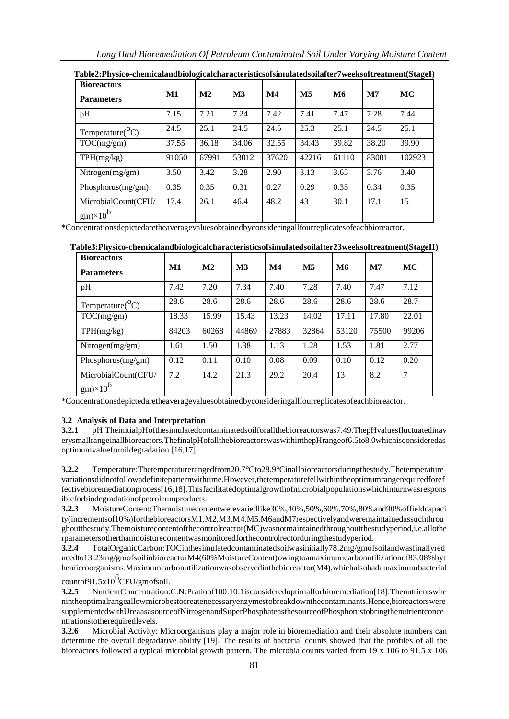| <b>Bioreactors</b>                     |       |               |               |               |                           |           |              |        |
|----------------------------------------|-------|---------------|---------------|---------------|---------------------------|-----------|--------------|--------|
| <b>Parameters</b>                      | M1    | $\mathbf{M2}$ | $\mathbf{M}3$ | $\mathbf{M}4$ | $\overline{\mathbf{M}}$ 5 | <b>M6</b> | $\mathbf{M}$ | MC     |
| pH                                     | 7.15  | 7.21          | 7.24          | 7.42          | 7.41                      | 7.47      | 7.28         | 7.44   |
| Temperature( ${}^0C$ )                 | 24.5  | 25.1          | 24.5          | 24.5          | 25.3                      | 25.1      | 24.5         | 25.1   |
| TOC(mg/gm)                             | 37.55 | 36.18         | 34.06         | 32.55         | 34.43                     | 39.82     | 38.20        | 39.90  |
| TPH(mg/kg)                             | 91050 | 67991         | 53012         | 37620         | 42216                     | 61110     | 83001        | 102923 |
| Nitrogen(mg/gm)                        | 3.50  | 3.42          | 3.28          | 2.90          | 3.13                      | 3.65      | 3.76         | 3.40   |
| Phosphorus $(mg/gm)$                   | 0.35  | 0.35          | 0.31          | 0.27          | 0.29                      | 0.35      | 0.34         | 0.35   |
| MicrobialCount(CFU/<br>$gm)\times10^6$ | 17.4  | 26.1          | 46.4          | 48.2          | 43                        | 30.1      | 17.1         | 15     |

**Table2:Physico-chemicalandbiologicalcharacteristicsofsimulatedsoilafter7weeksoftreatment(StageI)**

\*Concentrationsdepictedaretheaveragevaluesobtainedbyconsideringallfourreplicatesofeachbioreactor.

| <b>Bioreactors</b>                     |               |               |               |               |                        |           |              |       |
|----------------------------------------|---------------|---------------|---------------|---------------|------------------------|-----------|--------------|-------|
| <b>Parameters</b>                      | $\mathbf{M1}$ | $\mathbf{M2}$ | $\mathbf{M}3$ | $\mathbf{M}4$ | $\overline{\text{M5}}$ | <b>M6</b> | $\mathbf{M}$ | MC    |
| pH                                     | 7.42          | 7.20          | 7.34          | 7.40          | 7.28                   | 7.40      | 7.47         | 7.12  |
| Temperature( ${}^{\circ}C$ )           | 28.6          | 28.6          | 28.6          | 28.6          | 28.6                   | 28.6      | 28.6         | 28.7  |
| TOC(mg/gm)                             | 18.33         | 15.99         | 15.43         | 13.23         | 14.02                  | 17.11     | 17.80        | 22.01 |
| TPH(mg/kg)                             | 84203         | 60268         | 44869         | 27883         | 32864                  | 53120     | 75500        | 99206 |
| Nitrogen $(mg/gm)$                     | 1.61          | 1.50          | 1.38          | 1.13          | 1.28                   | 1.53      | 1.81         | 2.77  |
| Phosphorus $(mg/gm)$                   | 0.12          | 0.11          | 0.10          | 0.08          | 0.09                   | 0.10      | 0.12         | 0.20  |
| MicrobialCount(CFU/<br>$gm)\times10^6$ | 7.2           | 14.2          | 21.3          | 29.2          | 20.4                   | 13        | 8.2          | 7     |

| Table3:Physico-chemicalandbiologicalcharacteristicsofsimulatedsoilafter23weeksoftreatment(StageII) |  |  |  |  |  |
|----------------------------------------------------------------------------------------------------|--|--|--|--|--|
|                                                                                                    |  |  |  |  |  |

\*Concentrationsdepictedaretheaveragevaluesobtainedbyconsideringallfourreplicatesofeachbioreactor.

# **3.2 Analysis of Data and Interpretation**

**3.2.1** pH:TheinitialpHofthesimulatedcontaminatedsoilforallthebioreactorswas7.49.ThepHvaluesfluctuatedinav erysmallrangeinallbioreactors.ThefinalpHofallthebioreactorswaswithinthepHrangeof6.5to8.0whichisconsideredas optimumvalueforoildegradation.[16,17].

**3.2.2** Temperature:Thetemperaturerangedfrom20.7°Cto28.9°Cinallbioreactorsduringthestudy.Thetemperature variationsdidnotfollowadefinitepatternwithtime.However,thetemperaturefellwithintheoptimumrangerequiredforef fectivebioremediationprocess[16,18].Thisfacilitatedoptimalgrowthofmicrobialpopulationswhichinturnwasrespons ibleforbiodegradationofpetroleumproducts.

**3.2.3** MoistureContent:Themoisturecontentwerevariedlike30%,40%,50%,60%,70%,80%and90%offieldcapaci ty(incrementsof10%)forthebioreactorsM1,M2,M3,M4,M5,M6andM7respectivelyandweremaintainedassuchthrou ghoutthestudy.Themoisturecontentofthecontrolreactor(MC)wasnotmaintainedthroughoutthestudyperiod,i.e.allothe rparametersotherthanmoisturecontentwasmonitoredforthecontrolrectorduringthestudyperiod.

**3.2.4** TotalOrganicCarbon:TOCinthesimulatedcontaminatedsoilwasinitially78.2mg/gmofsoilandwasfinallyred ucedto13.23mg/gmofsoilinbioreactorM4(60%MoistureContent)owingtoamaximumcarbonutilizationof83.08%byt hemicroorganisms.Maximumcarbonutilizationwasobservedinthebioreactor(M4),whichalsohadamaximumbacterial

countof91.5 $x10^{6}$ CFU/gmofsoil.

**3.2.5** NutrientConcentration:C:N:Pratioof100:10:1isconsideredoptimalforbioremediation[18].Thenutrientswhe nintheoptimalrangeallowmicrobestocreatenecessaryenzymestobreakdownthecontaminants.Hence,bioreactorswere supplementedwithUreaasasourceofNitrogenandSuperPhosphateasthesourceofPhosphorustobringthenutrientconce ntrationstotherequiredlevels.

**3.2.6** Microbial Activity: Microorganisms play a major role in bioremediation and their absolute numbers can determine the overall degradative ability [19]. The results of bacterial counts showed that the profiles of all the bioreactors followed a typical microbial growth pattern. The microbialcounts varied from 19 x 106 to 91.5 x 106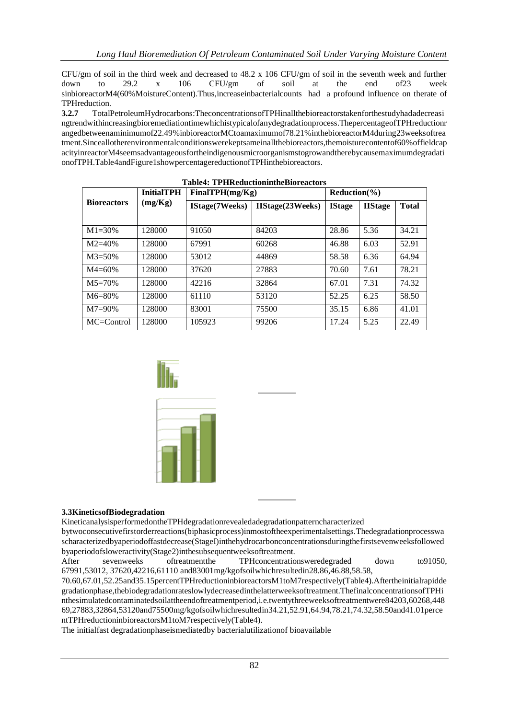CFU/gm of soil in the third week and decreased to 48.2 x 106 CFU/gm of soil in the seventh week and further down to 29.2 x 106 CFU/gm of soil at the end of23 week sinbioreactorM4(60%MoistureContent).Thus,increaseinbacterialcounts had a profound influence on therate of TPHreduction.

**3.2.7** TotalPetroleumHydrocarbons:TheconcentrationsofTPHinallthebioreactorstakenforthestudyhadadecreasi ngtrendwithincreasingbioremediationtimewhichistypicalofanydegradationprocess.ThepercentageofTPHreductionr angedbetweenaminimumof22.49%inbioreactorMCtoamaximumof78.21%inthebioreactorM4during23weeksoftrea tment.Sinceallotherenvironmentalconditionswerekeptsameinallthebioreactors,themoisturecontentof60%offieldcap acityinreactorM4seemsadvantageousfortheindigenousmicroorganismstogrowandtherebycausemaximumdegradati onofTPH.Table4andFigure1showpercentagereductionofTPHinthebioreactors.

|                    | <b>InitialTPH</b> | FinalTPH(mg/Kg) |                         | Reduction( <sub>9</sub> ) |                |              |
|--------------------|-------------------|-----------------|-------------------------|---------------------------|----------------|--------------|
| <b>Bioreactors</b> | (mg/Kg)           | IStage(7Weeks)  | <b>IIStage(23Weeks)</b> | <b>IStage</b>             | <b>IIStage</b> | <b>Total</b> |
| $M1 = 30%$         | 128000            | 91050           | 84203                   | 28.86                     | 5.36           | 34.21        |
| $M2 = 40%$         | 128000            | 67991           | 60268                   | 46.88                     | 6.03           | 52.91        |
| $M3 = 50\%$        | 128000            | 53012           | 44869                   | 58.58                     | 6.36           | 64.94        |
| $M4=60%$           | 128000            | 37620           | 27883                   | 70.60                     | 7.61           | 78.21        |
| $M5 = 70%$         | 128000            | 42216           | 32864                   | 67.01                     | 7.31           | 74.32        |
| $M6 = 80%$         | 128000            | 61110           | 53120                   | 52.25                     | 6.25           | 58.50        |
| $M7 = 90\%$        | 128000            | 83001           | 75500                   | 35.15                     | 6.86           | 41.01        |
| MC=Control         | 128000            | 105923          | 99206                   | 17.24                     | 5.25           | 22.49        |

### **Table4: TPHReductionintheBioreactors**





### **3.3KineticsofBiodegradation**

KineticanalysisperformedontheTPHdegradationrevealedadegradationpatterncharacterized

bytwoconsecutivefirstorderreactions(biphasicprocess)inmostoftheexperimentalsettings.Thedegradationprocesswa scharacterizedbyaperiodoffastdecrease(StageI)inthehydrocarbonconcentrationsduringthefirstsevenweeksfollowed byaperiodofsloweractivity(Stage2)inthesubsequentweeksoftreatment.

After sevenweeks oftreatment the TPHconcentrationsweredegraded down to91050, 67991,53012, 37620,42216,61110 and83001mg/kgofsoilwhichresultedin28.86,46.88,58.58,

70.60,67.01,52.25and35.15percentTPHreductioninbioreactorsM1toM7respectively(Table4).Aftertheinitialrapidde gradationphase,thebiodegradationrateslowlydecreasedinthelatterweeksoftreatment.ThefinalconcentrationsofTPHi nthesimulatedcontaminatedsoilattheendoftreatmentperiod,i.e.twentythreeweeksoftreatmentwere84203,60268,448 69,27883,32864,53120and75500mg/kgofsoilwhichresultedin34.21,52.91,64.94,78.21,74.32,58.50and41.01perce ntTPHreductioninbioreactorsM1toM7respectively(Table4).

The initialfast degradationphaseismediatedby bacterialutilizationof bioavailable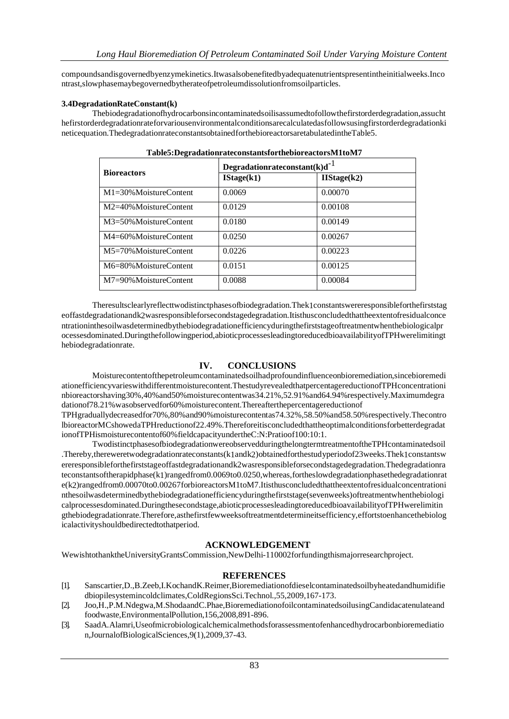compoundsandisgovernedbyenzymekinetics.Itwasalsobenefitedbyadequatenutrientspresentintheinitialweeks.Inco ntrast,slowphasemaybegovernedbytherateofpetroleumdissolutionfromsoilparticles.

### **3.4DegradationRateConstant(k)**

Thebiodegradationofhydrocarbonsincontaminatedsoilisassumedtofollowthefirstorderdegradation,assucht hefirstorderdegradationrateforvariousenvironmentalconditionsarecalculatedasfollowsusingfirstorderdegradationki neticequation.ThedegradationrateconstantsobtainedforthebioreactorsaretabulatedintheTable5.

|                              | Degradationrateconstant(k)d <sup>-1</sup> |             |  |  |  |  |
|------------------------------|-------------------------------------------|-------------|--|--|--|--|
| <b>Bioreactors</b>           | IStage(k1)                                | IIStage(k2) |  |  |  |  |
| $M1 = 30\%$ MoistureContent  | 0.0069                                    | 0.00070     |  |  |  |  |
| M2=40%MoistureContent        | 0.0129                                    | 0.00108     |  |  |  |  |
| $M3 = 50\%$ Moisture Content | 0.0180                                    | 0.00149     |  |  |  |  |
| $M4 = 60\%$ Moisture Content | 0.0250                                    | 0.00267     |  |  |  |  |
| $M5=70\%$ MoistureContent    | 0.0226                                    | 0.00223     |  |  |  |  |
| $M6 = 80\%$ MoistureContent  | 0.0151                                    | 0.00125     |  |  |  |  |
| $M7 = 90\%$ Moisture Content | 0.0088                                    | 0.00084     |  |  |  |  |

Theresultsclearlyreflecttwodistinctphasesofbiodegradation.Thek1constantswereresponsibleforthefirststag eoffastdegradationandk2wasresponsibleforsecondstagedegradation.Itisthusconcludedthattheextentofresidualconce ntrationinthesoilwasdeterminedbythebiodegradationefficiencyduringthefirststageoftreatmentwhenthebiologicalpr ocessesdominated.Duringthefollowingperiod,abioticprocessesleadingtoreducedbioavailabilityofTPHwerelimitingt hebiodegradationrate.

### **IV. CONCLUSIONS**

Moisturecontentofthepetroleumcontaminatedsoilhadprofoundinfluenceonbioremediation,sincebioremedi ationefficiencyvarieswithdifferentmoisturecontent.ThestudyrevealedthatpercentagereductionofTPHconcentrationi nbioreactorshaving30%,40%and50%moisturecontentwas34.21%,52.91%and64.94%respectively.Maximumdegra dationof78.21%wasobservedfor60%moisturecontent.Thereafterthepercentagereductionof

TPHgraduallydecreasedfor70%,80%and90%moisturecontentas74.32%,58.50%and58.50%respectively.Thecontro lbioreactorMCshowedaTPHreductionof22.49%.Thereforeitisconcludedthattheoptimalconditionsforbetterdegradat ionofTPHismoisturecontentof60%fieldcapacityundertheC:N:Pratioof100:10:1.

TwodistinctphasesofbiodegradationwereobservedduringthelongtermtreatmentoftheTPHcontaminatedsoil .Thereby,thereweretwodegradationrateconstants(k1andk2)obtainedforthestudyperiodof23weeks.Thek1constantsw ereresponsibleforthefirststageoffastdegradationandk2wasresponsibleforsecondstagedegradation.Thedegradationra teconstantsoftherapidphase(k1)rangedfrom0.0069to0.0250,whereas,fortheslowdegradationphasethedegradationrat e(k2)rangedfrom0.00070to0.00267forbioreactorsM1toM7.Itisthusconcludedthattheextentofresidualconcentrationi nthesoilwasdeterminedbythebiodegradationefficiencyduringthefirststage(sevenweeks)oftreatmentwhenthebiologi calprocessesdominated.Duringthesecondstage,abioticprocessesleadingtoreducedbioavailabilityofTPHwerelimitin gthebiodegradationrate.Therefore,asthefirstfewweeksoftreatmentdetermineitsefficiency,effortstoenhancethebiolog icalactivityshouldbedirectedtothatperiod.

### **ACKNOWLEDGEMENT**

WewishtothanktheUniversityGrantsCommission,NewDelhi-110002forfundingthismajorresearchproject.

### **REFERENCES**

- [1]. Sanscartier,D.,B.Zeeb,I.KochandK.Reimer,Bioremediationofdieselcontaminatedsoilbyheatedandhumidifie dbiopilesystemincoldclimates,ColdRegionsSci.Technol.,55,2009,167-173.
- [2]. Joo,H.,P.M.Ndegwa,M.ShodaandC.Phae,BioremediationofoilcontaminatedsoilusingCandidacatenulateand foodwaste,EnvironmentalPollution,156,2008,891-896.
- [3]. SaadA.Alamri,Useofmicrobiologicalchemicalmethodsforassessmentofenhancedhydrocarbonbioremediatio n,JournalofBiologicalSciences,9(1),2009,37-43.